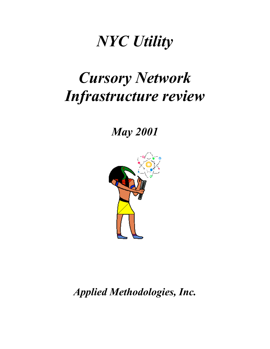# *NYC Utility*

# *Cursory Network Infrastructure review*

*May 2001*



*Applied Methodologies, Inc.*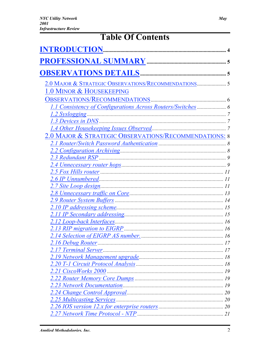# **Table Of Contents**

| 2.0 MAJOR & STRATEGIC OBSERVATIONS/RECOMMENDATIONS 5  |  |  |
|-------------------------------------------------------|--|--|
| 1.0 MINOR & HOUSEKEEPING                              |  |  |
|                                                       |  |  |
|                                                       |  |  |
|                                                       |  |  |
|                                                       |  |  |
|                                                       |  |  |
| 2.0 MAJOR & STRATEGIC OBSERVATIONS/RECOMMENDATIONS: 8 |  |  |
|                                                       |  |  |
|                                                       |  |  |
|                                                       |  |  |
|                                                       |  |  |
|                                                       |  |  |
|                                                       |  |  |
|                                                       |  |  |
|                                                       |  |  |
|                                                       |  |  |
|                                                       |  |  |
|                                                       |  |  |
|                                                       |  |  |
|                                                       |  |  |
|                                                       |  |  |
|                                                       |  |  |
|                                                       |  |  |
|                                                       |  |  |
|                                                       |  |  |
|                                                       |  |  |
|                                                       |  |  |
|                                                       |  |  |
|                                                       |  |  |
|                                                       |  |  |
|                                                       |  |  |
|                                                       |  |  |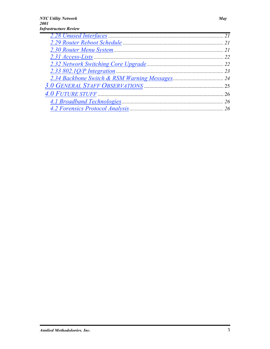Ē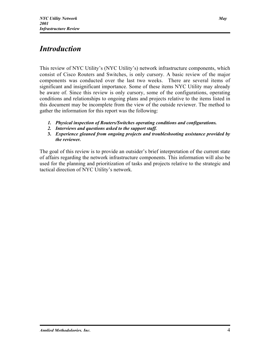# *Introduction*

This review of NYC Utility's (NYC Utility's) network infrastructure components, which consist of Cisco Routers and Switches, is only cursory. A basic review of the major components was conducted over the last two weeks. There are several items of significant and insignificant importance. Some of these items NYC Utility may already be aware of. Since this review is only cursory, some of the configurations, operating conditions and relationships to ongoing plans and projects relative to the items listed in this document may be incomplete from the view of the outside reviewer. The method to gather the information for this report was the following:

- *1. Physical inspection of Routers/Switches operating conditions and configurations.*
- *2. Interviews and questions asked to the support staff.*
- 3. *Experience gleaned from ongoing projects and troubleshooting assistance provided by the reviewer.*

The goal of this review is to provide an outsider's brief interpretation of the current state of affairs regarding the network infrastructure components. This information will also be used for the planning and prioritization of tasks and projects relative to the strategic and tactical direction of NYC Utility's network.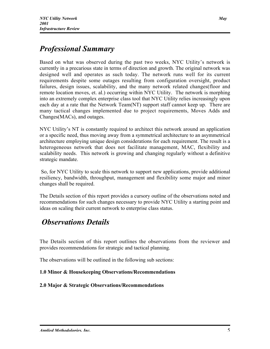# *Professional Summary*

Based on what was observed during the past two weeks, NYC Utility's network is currently in a precarious state in terms of direction and growth. The original network was designed well and operates as such today. The network runs well for its current requirements despite some outages resulting from configuration oversight, product failures, design issues, scalability, and the many network related changes(floor and remote location moves, et. al.) occurring within NYC Utility. The network is morphing into an extremely complex enterprise class tool that NYC Utility relies increasingly upon each day at a rate that the Network Team(NT) support staff cannot keep up. There are many tactical changes implemented due to project requirements, Moves Adds and Changes(MACs), and outages.

NYC Utility's NT is constantly required to architect this network around an application or a specific need, thus moving away from a symmetrical architecture to an asymmetrical architecture employing unique design considerations for each requirement. The result is a heterogeneous network that does not facilitate management, MAC, flexibility and scalability needs. This network is growing and changing regularly without a definitive strategic mandate.

So, for NYC Utility to scale this network to support new applications, provide additional resiliency, bandwidth, throughput, management and flexibility some major and minor changes shall be required.

The Details section of this report provides a cursory outline of the observations noted and recommendations for such changes necessary to provide NYC Utility a starting point and ideas on scaling their current network to enterprise class status.

## *Observations Details*

The Details section of this report outlines the observations from the reviewer and provides recommendations for strategic and tactical planning.

The observations will be outlined in the following sub sections:

#### 1.0 Minor & Housekeeping Observations/Recommendations

#### 2.0 Major & Strategic Observations/Recommendations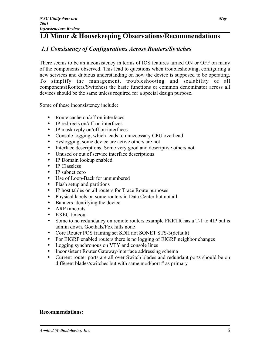### 1.0 Minor & Housekeeping Observations/Recommendations

#### *1.1 Consistency of Configurations Across Routers/Switches*

There seems to be an inconsistency in terms of IOS features turned ON or OFF on many of the components observed. This lead to questions when troubleshooting, configuring a new services and dubious understanding on how the device is supposed to be operating. To simplify the management, troubleshooting and scalability of all components(Routers/Switches) the basic functions or common denominator across all devices should be the same unless required for a special design purpose.

Some of these inconsistency include:

- Route cache on/off on interfaces
- IP redirects on/off on interfaces
- IP mask reply on/off on interfaces
- Console logging, which leads to unnecessary CPU overhead
- Syslogging, some device are active others are not
- Interface descriptions. Some very good and descriptive others not.
- Unused or out of service interface descriptions
- IP Domain lookup enabled
- IP Classless
- IP subnet zero
- Use of Loop-Back for unnumbered
- Flash setup and partitions
- IP host tables on all routers for Trace Route purposes
- Physical labels on some routers in Data Center but not all
- Banners identifying the device
- ARP timeouts
- EXEC timeout
- Some to no redundancy on remote routers example FKRTR has a T-1 to 4IP but is admin down. Goethals/Fox hills none
- Core Router POS framing set SDH not SONET STS-3(default)
- For EIGRP enabled routers there is no logging of EIGRP neighbor changes
- Logging synchronous on VTY and console lines
- Inconsistent Router Gateway/interface addressing schema
- Current router ports are all over Switch blades and redundant ports should be on different blades/switches but with same mod/port # as primary

#### Recommendations: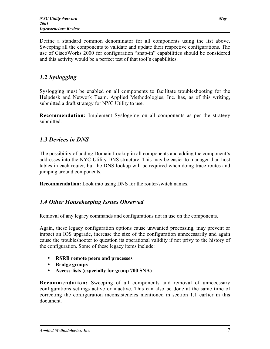Define a standard common denominator for all components using the list above. Sweeping all the components to validate and update their respective configurations. The use of CiscoWorks 2000 for configuration "snap-in" capabilities should be considered and this activity would be a perfect test of that tool's capabilities.

#### *1.2 Syslogging*

Syslogging must be enabled on all components to facilitate troubleshooting for the Helpdesk and Network Team. Applied Methodologies, Inc. has, as of this writing, submitted a draft strategy for NYC Utility to use.

Recommendation: Implement Syslogging on all components as per the strategy submitted.

#### *1.3 Devices in DNS*

The possibility of adding Domain Lookup in all components and adding the component's addresses into the NYC Utility DNS structure. This may be easier to manager than host tables in each router, but the DNS lookup will be required when doing trace routes and jumping around components.

Recommendation: Look into using DNS for the router/switch names.

#### *1.4 Other Housekeeping Issues Observed*

Removal of any legacy commands and configurations not in use on the components.

Again, these legacy configuration options cause unwanted processing, may prevent or impact an IOS upgrade, increase the size of the configuration unnecessarily and again cause the troubleshooter to question its operational validity if not privy to the history of the configuration. Some of these legacy items include:

- RSRB remote peers and processes
- Bridge groups
- Access-lists (especially for group 700 SNA)

Recommendation: Sweeping of all components and removal of unnecessary configurations settings active or inactive. This can also be done at the same time of correcting the configuration inconsistencies mentioned in section 1.1 earlier in this document.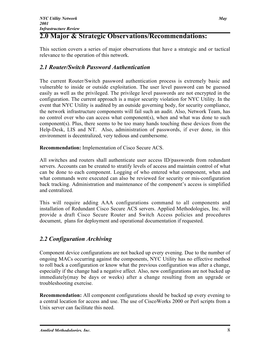## 2.0 Major & Strategic Observations/Recommendations:

This section covers a series of major observations that have a strategic and or tactical relevance to the operation of this network.

#### *2.1 Router/Switch Password Authentication*

The current Router/Switch password authentication process is extremely basic and vulnerable to inside or outside exploitation. The user level password can be guessed easily as well as the privileged. The privilege level passwords are not encrypted in the configuration. The current approach is a major security violation for NYC Utility. In the event that NYC Utility is audited by an outside governing body, for security compliance, the network infrastructure components will fail such an audit. Also, Network Team, has no control over who can access what component(s), when and what was done to such component(s). Plus, there seems to be too many hands touching these devices from the Help-Desk, LIS and NT. Also, administration of passwords, if ever done, in this environment is decentralized, very tedious and cumbersome.

Recommendation: Implementation of Cisco Secure ACS.

All switches and routers shall authenticate user access ID/passwords from redundant servers. Accounts can be created to stratify levels of access and maintain control of what can be done to each component. Logging of who entered what component, when and what commands were executed can also be reviewed for security or mis-configuration back tracking. Administration and maintenance of the component's access is simplified and centralized.

This will require adding AAA configurations command to all components and installation of Redundant Cisco Secure ACS servers. Applied Methodologies, Inc. will provide a draft Cisco Secure Router and Switch Access policies and procedures document, plans for deployment and operational documentation if requested.

#### *2.2 Configuration Archiving*

Component device configurations are not backed up every evening. Due to the number of ongoing MACs occurring against the components, NYC Utility has no effective method to roll back a configuration or know what the previous configuration was after a change, especially if the change had a negative affect. Also, new configurations are not backed up immediately(may be days or weeks) after a change resulting from an upgrade or troubleshooting exercise.

Recommendation: All component configurations should be backed up every evening to a central location for access and use. The use of CiscoWorks 2000 or Perl scripts from a Unix server can facilitate this need.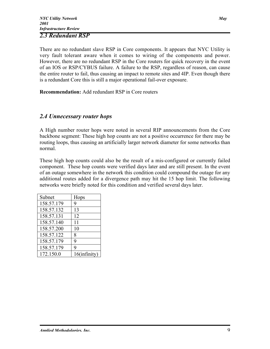#### *2.3 Redundant RSP*

There are no redundant slave RSP in Core components. It appears that NYC Utility is very fault tolerant aware when it comes to wiring of the components and power. However, there are no redundant RSP in the Core routers for quick recovery in the event of an IOS or RSP/CYBUS failure. A failure to the RSP, regardless of reason, can cause the entire router to fail, thus causing an impact to remote sites and 4IP. Even though there is a redundant Core this is still a major operational fail-over exposure.

Recommendation: Add redundant RSP in Core routers

#### *2.4 Unnecessary router hops*

A High number router hops were noted in several RIP announcements from the Core backbone segment: These high hop counts are not a positive occurrence for there may be routing loops, thus causing an artificially larger network diameter for some networks than normal.

These high hop counts could also be the result of a mis-configured or currently failed component. These hop counts were verified days later and are still present. In the event of an outage somewhere in the network this condition could compound the outage for any additional routes added for a divergence path may hit the 15 hop limit. The following networks were briefly noted for this condition and verified several days later.

| Subnet     | Hops         |
|------------|--------------|
| 158.57.179 | 9            |
| 158.57.132 | 13           |
| 158.57.131 | 12           |
| 158.57.140 | 11           |
| 158.57.200 | 10           |
| 158.57.122 | 8            |
| 158.57.179 | 9            |
| 158.57.179 | 9            |
| 172.150.0  | 16(infinity) |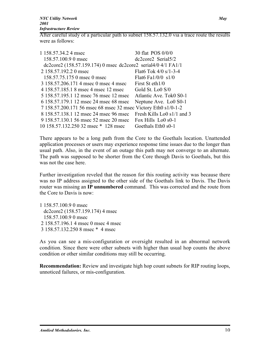After careful study of a particular path to subnet 158.57.132.0 via a trace route the results were as follows:

| 1 158.57.34.2 4 msec                                            | 30 flat POS 0/0/0          |
|-----------------------------------------------------------------|----------------------------|
| 158.57.100.9 0 msec                                             | $dc2core2$ Serial $5/2$    |
| dc2core2 $(158.57.159.174)$ 0 msec dc2core2 serial4/0 4/1 FA1/1 |                            |
| 2 158.57.192.2 0 msec                                           | Flato Tok $4/0 s/1-3-4$    |
| 158.57.75.175 0 msec 0 msec                                     | Flat6 Fa1/0/0 $s1/0$       |
| 3 158.57.206.171 4 msec 0 msec 4 msec                           | First St eth1/0            |
| 4 158,57,185,1 8 msec 4 msec 12 msec                            | Gold St. Lo0 S/0           |
| 5 158.57.195.1 12 msec 76 msec 12 msec                          | Atlantic Ave. Tok0 S0-1    |
| 6 158.57.179.1 12 msec 24 msec 68 msec                          | Neptune Ave. Lo0 S0-1      |
| 7 158.57.200.171 56 msec 68 msec 32 msec Victory Eth0 s1/0-1-2  |                            |
| 8 158.57.138.1 12 msec 24 msec 96 msec                          | Fresh Kills Lo0 s1/1 and 3 |
| 9 158,57,130,1 56 msec 52 msec 20 msec Fox Hills Lo0 s0-1       |                            |
| 10 158.57.132.250 32 msec * 128 msec                            | Goethals Eth0 s0-1         |

There appears to be a long path from the Core to the Goethals location. Unattended application processes or users may experience response time issues due to the longer than usual path. Also, in the event of an outage this path may not converge to an alternate. The path was supposed to be shorter from the Core though Davis to Goethals, but this was not the case here.

Further investigation reveled that the reason for this routing activity was because there was no IP address assigned to the other side of the Goethals link to Davis. The Davis router was missing an IP unnumbered command. This was corrected and the route from the Core to Davis is now:

1 158.57.100.9 0 msec dc2core2 (158.57.159.174) 4 msec 158.57.100.9 0 msec 2 158.57.196.1 4 msec 0 msec 4 msec 3 158.57.132.250 8 msec \* 4 msec

As you can see a mis-configuration or oversight resulted in an abnormal network condition. Since there were other subnets with higher than usual hop counts the above condition or other similar conditions may still be occurring.

Recommendation: Review and investigate high hop count subnets for RIP routing loops, unnoticed failures, or mis-configuration.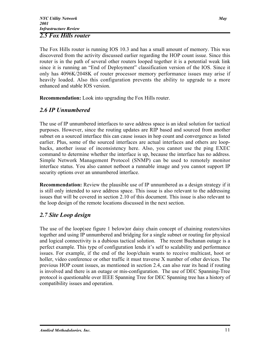#### *2.5 Fox Hills router*

The Fox Hills router is running IOS 10.3 and has a small amount of memory. This was discovered from the activity discussed earlier regarding the HOP count issue. Since this router is in the path of several other routers looped together it is a potential weak link since it is running an "End of Deployment" classification version of the IOS. Since it only has 4096K/2048K of router processor memory performance issues may arise if heavily loaded. Also this configuration prevents the ability to upgrade to a more enhanced and stable IOS version.

Recommendation: Look into upgrading the Fox Hills router.

#### *2.6 IP Unnumbered*

The use of IP unnumbered interfaces to save address space is an ideal solution for tactical purposes. However, since the routing updates are RIP based and sourced from another subnet on a sourced interface this can cause issues in hop count and convergence as listed earlier. Plus, some of the sourced interfaces are actual interfaces and others are loopbacks, another issue of inconsistency here. Also, you cannot use the ping EXEC command to determine whether the interface is up, because the interface has no address. Simple Network Management Protocol (SNMP) can be used to remotely monitor interface status. You also cannot netboot a runnable image and you cannot support IP security options over an unnumbered interface.

Recommendation: Review the plausible use of IP unnumbered as a design strategy if it is still only intended to save address space. This issue is also relevant to the addressing issues that will be covered in section 2.10 of this document. This issue is also relevant to the loop design of the remote locations discussed in the next section.

#### *2.7 Site Loop design*

The use of the loop(see figure 1 below)or daisy chain concept of chaining routers/sites together and using IP unnumbered and bridging for a single subnet or routing for physical and logical connectivity is a dubious tactical solution. The recent Buchanan outage is a perfect example. This type of configuration lends it's self to scalability and performance issues. For example, if the end of the loop/chain wants to receive multicast, hoot or holler, video conference or other traffic it must traverse X number of other devices. The previous HOP count issues, as mentioned in section 2.4, can also rear its head if routing is involved and there is an outage or mis-configuration. The use of DEC Spanning-Tree protocol is questionable over IEEE Spanning Tree for DEC Spanning tree has a history of compatibility issues and operation.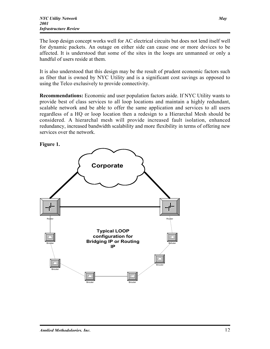The loop design concept works well for AC electrical circuits but does not lend itself well for dynamic packets. An outage on either side can cause one or more devices to be affected. It is understood that some of the sites in the loops are unmanned or only a handful of users reside at them.

It is also understood that this design may be the result of prudent economic factors such as fiber that is owned by NYC Utility and is a significant cost savings as opposed to using the Telco exclusively to provide connectivity.

Recommendations: Economic and user population factors aside. If NYC Utility wants to provide best of class services to all loop locations and maintain a highly redundant, scalable network and be able to offer the same application and services to all users regardless of a HQ or loop location then a redesign to a Hierarchal Mesh should be considered. A hierarchal mesh will provide increased fault isolation, enhanced redundancy, increased bandwidth scalability and more flexibility in terms of offering new services over the network.



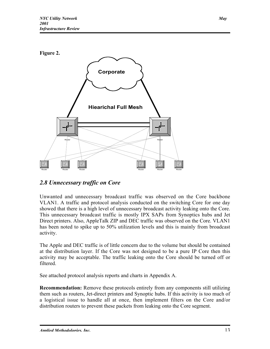

#### *2.8 Unnecessary traffic on Core*

Unwanted and unnecessary broadcast traffic was observed on the Core backbone VLAN1. A traffic and protocol analysis conducted on the switching Core for one day showed that there is a high level of unnecessary broadcast activity leaking onto the Core. This unnecessary broadcast traffic is mostly IPX SAPs from Synoptics hubs and Jet Direct printers. Also, AppleTalk ZIP and DEC traffic was observed on the Core. VLAN1 has been noted to spike up to 50% utilization levels and this is mainly from broadcast activity.

The Apple and DEC traffic is of little concern due to the volume but should be contained at the distribution layer. If the Core was not designed to be a pure IP Core then this activity may be acceptable. The traffic leaking onto the Core should be turned off or filtered.

See attached protocol analysis reports and charts in Appendix A.

Recommendation: Remove these protocols entirely from any components still utilizing them such as routers, Jet-direct printers and Synoptic hubs. If this activity is too much of a logistical issue to handle all at once, then implement filters on the Core and/or distribution routers to prevent these packets from leaking onto the Core segment.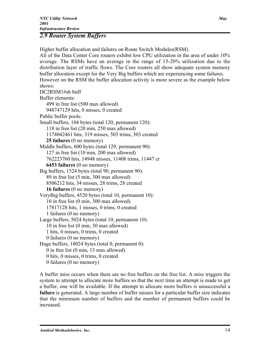#### *2.9 Router System Buffers*

Higher buffer allocation and failures on Route Switch Modules(RSM). All of the Data Center Core routers exhibit low CPU utilization in the area of under 10% average. The RSMs have an average in the range of 15-20% utilization due to the distribution layer of traffic flows. The Core routers all show adequate system memory buffer allocation except for the Very Big buffers which are experiencing some failures. However on the RSM the buffer allocation activity is more severe as the example below shows: DC2RSM1#sh buff Buffer elements: 499 in free list (500 max allowed) 948747129 hits, 0 misses, 0 created Public buffer pools: Small buffers, 104 bytes (total 120, permanent 120): 118 in free list (20 min, 250 max allowed) 1174042461 hits, 319 misses, 503 trims, 503 created 25 failures (0 no memory) Middle buffers, 600 bytes (total 129, permanent 90): 127 in free list (10 min, 200 max allowed) 762223760 hits, 14948 misses, 11408 trims, 11447 cr 6453 failures (0 no memory) Big buffers, 1524 bytes (total 90, permanent 90): 89 in free list (5 min, 300 max allowed) 8506212 hits, 34 misses, 28 trims, 28 created 16 failures (0 no memory) VeryBig buffers, 4520 bytes (total 10, permanent 10): 10 in free list (0 min, 300 max allowed) 17817128 hits, 1 misses, 0 trims, 0 created 1 failures (0 no memory) Large buffers, 5024 bytes (total 10, permanent 10): 10 in free list (0 min, 30 max allowed) 1 hits, 0 misses, 0 trims, 0 created 0 failures (0 no memory) Huge buffers, 18024 bytes (total 0, permanent 0): 0 in free list (0 min, 13 max allowed) 0 hits, 0 misses, 0 trims, 0 created 0 failures (0 no memory)

A buffer miss occurs when there are no free buffers on the free list. A miss triggers the system to attempt to allocate more buffers so that the next time an attempt is made to get a buffer, one will be available. If the attempt to allocate more buffers is unsuccessful a failure is generated. A large number of buffer misses for a particular buffer size indicates that the minimum number of buffers and the number of permanent buffers could be increased.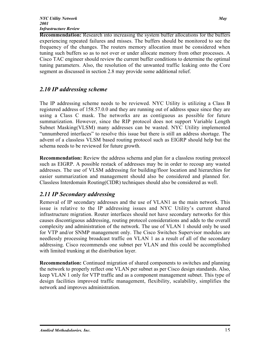Recommendation: Research into increasing the system buffer allocations for the buffers experiencing repeated failures and misses. The buffers should be monitored to see the frequency of the changes. The routers memory allocation must be considered when tuning such buffers so as to not over or under allocate memory from other processes. A Cisco TAC engineer should review the current buffer conditions to determine the optimal tuning parameters. Also, the resolution of the unwanted traffic leaking onto the Core segment as discussed in section 2.8 may provide some additional relief.

#### *2.10 IP addressing scheme*

The IP addressing scheme needs to be reviewed. NYC Utility is utilizing a Class B registered address of 158.57.0.0 and they are running out of address space since they are using a Class C mask. The networks are as contiguous as possible for future summarization. However, since the RIP protocol does not support Variable Length Subnet Masking(VLSM) many addresses can be wasted. NYC Utility implemented "unnumbered interfaces" to resolve this issue but there is still an address shortage. The advent of a classless VLSM based routing protocol such as EIGRP should help but the schema needs to be reviewed for future growth.

Recommendation: Review the address schema and plan for a classless routing protocol such as EIGRP. A possible restack of addresses may be in order to recoup any wasted addresses. The use of VLSM addressing for building/floor location and hierarchies for easier summarization and management should also be considered and planned for. Classless Interdomain Routing(CIDR) techniques should also be considered as well.

#### *2.11 IP Secondary addressing*

Removal of IP secondary addresses and the use of VLAN1 as the main network. This issue is relative to the IP addressing issues and NYC Utility's current shared infrastructure migration. Router interfaces should not have secondary networks for this causes discontiguous addressing, routing protocol considerations and adds to the overall complexity and administration of the network. The use of VLAN 1 should only be used for VTP and/or SNMP management only. The Cisco Switches Supervisor modules are needlessly processing broadcast traffic on VLAN 1 as a result of all of the secondary addressing. Cisco recommends one subnet per VLAN and this could be accomplished with limited trunking at the distribution layer.

Recommendation: Continued migration of shared components to switches and planning the network to properly reflect one VLAN per subnet as per Cisco design standards. Also, keep VLAN 1 only for VTP traffic and as a component management subnet. This type of design facilities improved traffic management, flexibility, scalability, simplifies the network and improves administration.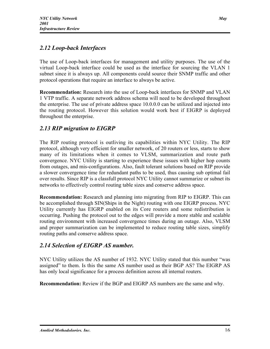#### *2.12 Loop-back Interfaces*

The use of Loop-back interfaces for management and utility purposes. The use of the virtual Loop-back interface could be used as the interface for sourcing the VLAN 1 subnet since it is always up. All components could source their SNMP traffic and other protocol operations that require an interface to always be active.

Recommendation: Research into the use of Loop-back interfaces for SNMP and VLAN 1 VTP traffic. A separate network address schema will need to be developed throughout the enterprise. The use of private address space 10.0.0.0 can be utilized and injected into the routing protocol. However this solution would work best if EIGRP is deployed throughout the enterprise.

#### *2.13 RIP migration to EIGRP*

The RIP routing protocol is outliving its capabilities within NYC Utility. The RIP protocol, although very efficient for smaller network, of 20 routers or less, starts to show many of its limitations when it comes to VLSM, summarization and route path convergence. NYC Utility is starting to experience these issues with higher hop counts from outages, and mis-configurations. Also, fault tolerant solutions based on RIP provide a slower convergence time for redundant paths to be used, thus causing sub optimal fail over results. Since RIP is a classfull protocol NYC Utility cannot summarize or subnet its networks to effectively control routing table sizes and conserve address space.

Recommendation: Research and planning into migrating from RIP to EIGRP. This can be accomplished through SIN(Ships in the Night) routing with one EIGRP process. NYC Utility currently has EIGRP enabled on its Core routers and some redistribution is occurring. Pushing the protocol out to the edges will provide a more stable and scalable routing environment with increased convergence times during an outage. Also, VLSM and proper summarization can be implemented to reduce routing table sizes, simplify routing paths and conserve address space.

#### *2.14 Selection of EIGRP AS number.*

NYC Utility utilizes the AS number of 1932. NYC Utility stated that this number "was assigned" to them. Is this the same AS number used as their BGP AS? The EIGRP AS has only local significance for a process definition across all internal routers.

Recommendation: Review if the BGP and EIGRP AS numbers are the same and why.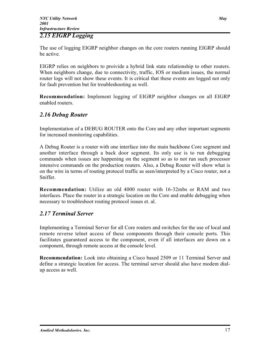#### *2.15 EIGRP Logging*

The use of logging EIGRP neighbor changes on the core routers running EIGRP should be active.

EIGRP relies on neighbors to proivide a hybrid link state relationship to other routers. When neighbors change, due to connectivity, traffic, IOS or medium issues, the normal router logs will not show these events. It is critical that these events are logged not only for fault prevention but for troubleshooting as well.

Recommendation: Implement logging of EIGRP neighbor changes on all EIGRP enabled routers.

#### *2.16 Debug Router*

Implementation of a DEBUG ROUTER onto the Core and any other important segments for increased monitoring capabilities.

A Debug Router is a router with one interface into the main backbone Core segment and another interface through a back door segment. Its only use is to run debugging commands when issues are happening on the segment so as to not run such processor intensive commands on the production routers. Also, a Debug Router will show what is on the wire in terms of routing protocol traffic as seen/interpreted by a Cisco router, not a Sniffer.

Recommendation: Utilize an old 4000 router with 16-32mbs or RAM and two interfaces. Place the router in a strategic location on the Core and enable debugging when necessary to troubleshoot routing protocol issues et. al.

#### *2.17 Terminal Server*

Implementing a Terminal Server for all Core routers and switches for the use of local and remote reverse telnet access of these components through their console ports. This facilitates guaranteed access to the component, even if all interfaces are down on a component, through remote access at the console level.

Recommendation: Look into obtaining a Cisco based 2509 or 11 Terminal Server and define a strategic location for access. The terminal server should also have modem dialup access as well.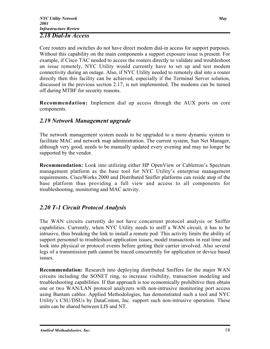#### *2.18 Dial-In Access*

Core routers and switches do not have direct modem dial-in access for support purposes. Without this capability on the main components a support exposure issue is present. For example, if Cisco TAC needed to access the routers directly to validate and troubleshoot an issue remotely, NYC Utility would currently have to set up and test modem connectivity during an outage. Also, if NYC Utility needed to remotely dial into a router directly then this facility can be achieved, especially if the Terminal Server solution, discussed in the previous section 2.17, is not implemented. The modems can be turned off during MTBF for security reasons.

Recommendation: Implement dial up access through the AUX ports on core components.

#### *2.19 Network Management upgrade*

The network management system needs to be upgraded to a more dynamic system to facilitate MAC and network map administration. The current system, Sun Net Manager, although very good, needs to be manually updated every evening and may no longer be supported by the vendor.

Recommendation: Look into utilizing either HP OpenView or Cabletron's Spectrum management platform as the base tool for NYC Utility's enterprise management requirements. CiscoWorks 2000 and Distributed Sniffer platforms can reside atop of the base platform thus providing a full view and access to all components for troubleshooting, monitoring and MAC activity.

#### *2.20 T-1 Circuit Protocol Analysis*

The WAN circuits currently do not have concurrent protocol analysis or Sniffer capabilities. Currently, when NYC Utility needs to sniff a WAN circuit, it has to be intrusive, thus breaking the link to install a remote pod. This activity limits the ability of support personnel to troubleshoot application issues, model transactions in real time and look into physical or protocol events before getting their carrier involved. Also several legs of a transmission path cannot be traced concurrently for application or device based issues.

Recommendation: Research into deploying distributed Sniffers for the major WAN circuits including the SONET ring, to increase visibility, transaction modeling and troubleshooting capabilities. If that approach is too economically prohibitive then obtain one or two WAN/LAN protocol analyzers with non-intrusive monitoring port access using Bantam cables. Applied Methodologies, has demonstrated such a tool and NYC Utility's CSU/DSUs by DataComm, Inc. support such non-intrusive operation. These units can be shared between LIS and NT.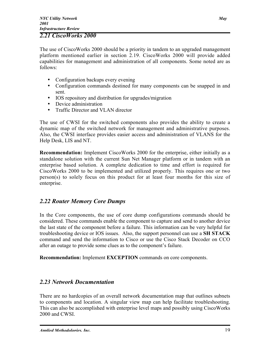#### *2.21 CiscoWorks 2000*

The use of CiscoWorks 2000 should be a priority in tandem to an upgraded management platform mentioned earlier in section 2.19. CiscoWorks 2000 will provide added capabilities for management and administration of all components. Some noted are as follows:

- Configuration backups every evening
- Configuration commands destined for many components can be snapped in and sent.
- IOS repository and distribution for upgrades/migration
- Device administration
- Traffic Director and VLAN director

The use of CWSI for the switched components also provides the ability to create a dynamic map of the switched network for management and administrative purposes. Also, the CWSI interface provides easier access and administration of VLANS for the Help Desk, LIS and NT.

Recommendation: Implement CiscoWorks 2000 for the enterprise, either initially as a standalone solution with the current Sun Net Manager platform or in tandem with an enterprise based solution. A complete dedication to time and effort is required for CiscoWorks 2000 to be implemented and utilized properly. This requires one or two person(s) to solely focus on this product for at least four months for this size of enterprise.

#### *2.22 Router Memory Core Dumps*

In the Core components, the use of core dump configurations commands should be considered. These commands enable the component to capture and send to another device the last state of the component before a failure. This information can be very helpful for troubleshooting device or IOS issues. Also, the support personnel can use a SH STACK command and send the information to Cisco or use the Cisco Stack Decoder on CCO after an outage to provide some clues as to the component's failure.

Recommendation: Implement EXCEPTION commands on core components.

#### *2.23 Network Documentation*

There are no hardcopies of an overall network documentation map that outlines subnets to components and location. A singular view map can help facilitate troubleshooting. This can also be accomplished with enterprise level maps and possibly using CiscoWorks 2000 and CWSI.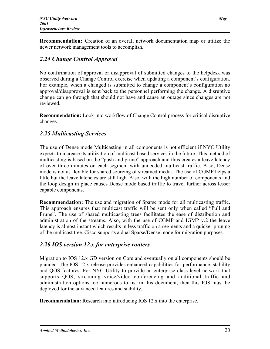Recommendation: Creation of an overall network documentation map or utilize the newer network management tools to accomplish.

### *2.24 Change Control Approval*

No confirmation of approval or disapproval of submitted changes to the helpdesk was observed during a Change Control exercise when updating a component's configuration. For example, when a changed is submitted to change a component's configuration no approval/disapproval is sent back to the personnel performing the change. A disruptive change can go through that should not have and cause an outage since changes are not reviewed.

Recommendation: Look into workflow of Change Control process for critical disruptive changes.

#### *2.25 Multicasting Services*

The use of Dense mode Multicasting in all components is not efficient if NYC Utility expects to increase its utilization of multicast based services in the future. This method of multicasting is based on the "push and prune" approach and thus creates a leave latency of over three minutes on each segment with unneeded multicast traffic. Also, Dense mode is not as flexible for shared sourcing of streamed media. The use of CGMP helps a little but the leave latencies are still high. Also, with the high number of components and the loop design in place causes Dense mode based traffic to travel further across lesser capable components.

Recommendation: The use and migration of Sparse mode for all multicasting traffic. This approach ensures that multicast traffic will be sent only when called "Pull and Prune". The use of shared multicasting trees facilitates the ease of distribution and administration of the streams. Also, with the use of CGMP and IGMP v.2 the leave latency is almost instant which results in less traffic on a segments and a quicker pruning of the multicast tree. Cisco supports a dual Sparse/Dense mode for migration purposes.

#### *2.26 IOS version 12.x for enterprise routers*

Migration to IOS 12.x GD version on Core and eventually on all components should be planned. The IOS 12.x release provides enhanced capabilities for performance, stability and QOS features. For NYC Utility to provide an enterprise class level network that supports QOS, streaming voice/video conferencing and additional traffic and administration options too numerous to list in this document, then this IOS must be deployed for the advanced features and stability.

Recommendation: Research into introducing IOS 12.x into the enterprise.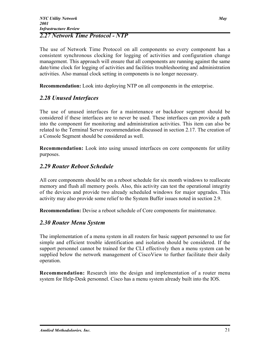#### *2.27 Network Time Protocol - NTP*

The use of Network Time Protocol on all components so every component has a consistent synchronous clocking for logging of activities and configuration change management. This approach will ensure that all components are running against the same date/time clock for logging of activities and facilities troubleshooting and administration activities. Also manual clock setting in components is no longer necessary.

Recommendation: Look into deploying NTP on all components in the enterprise.

#### *2.28 Unused Interfaces*

The use of unused interfaces for a maintenance or backdoor segment should be considered if these interfaces are to never be used. These interfaces can provide a path into the component for monitoring and administration activities. This item can also be related to the Terminal Server recommendation discussed in section 2.17. The creation of a Console Segment should be considered as well.

Recommendation: Look into using unused interfaces on core components for utility purposes.

#### *2.29 Router Reboot Schedule*

All core components should be on a reboot schedule for six month windows to reallocate memory and flush all memory pools. Also, this activity can test the operational integrity of the devices and provide two already scheduled windows for major upgrades. This activity may also provide some relief to the System Buffer issues noted in section 2.9.

Recommendation: Devise a reboot schedule of Core components for maintenance.

#### *2.30 Router Menu System*

The implementation of a menu system in all routers for basic support personnel to use for simple and efficient trouble identification and isolation should be considered. If the support personnel cannot be trained for the CLI effectively then a menu system can be supplied below the network management of CiscoView to further facilitate their daily operation.

Recommendation: Research into the design and implementation of a router menu system for Help-Desk personnel. Cisco has a menu system already built into the IOS.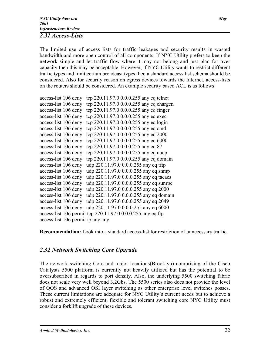#### *2.31 Access-Lists*

The limited use of access lists for traffic leakages and security results in wasted bandwidth and more open control of all components. If NYC Utility prefers to keep the network simple and let traffic flow where it may not belong and just plan for over capacity then this may be acceptable. However, if NYC Utility wants to restrict different traffic types and limit certain broadcast types then a standard access list schema should be considered. Also for security reason on egress devices towards the Internet, access-lists on the routers should be considered. An example security based ACL is as follows:

| tcp 220.11.97.0 0.0.0.255 any eq telnet                     |
|-------------------------------------------------------------|
| tcp 220.11.97.0 0.0.0.255 any eq chargen                    |
| tcp 220.11.97.0 0.0.0.255 any eq finger                     |
| tcp 220.11.97.0 0.0.0.255 any eq exec                       |
| tcp 220.11.97.0 0.0.0.255 any eq login                      |
| tcp 220.11.97.0 0.0.0.255 any eq cmd                        |
| tcp 220.11.97.0 0.0.0.255 any eq 2000                       |
| tcp 220.11.97.0 0.0.0.255 any eq 6000                       |
| tcp 220.11.97.0 0.0.0.255 any eq 87                         |
| tcp 220.11.97.0 0.0.0.255 any eq uucp                       |
| tcp 220.11.97.0 0.0.0.255 any eq domain                     |
| udp 220.11.97.0 0.0.0.255 any eq tftp                       |
| udp 220.11.97.0 0.0.0.255 any eq snmp                       |
| udp 220.11.97.0 0.0.0.255 any eq tacacs                     |
| udp 220.11.97.0 0.0.0.255 any eq sunrpc                     |
| udp 220.11.97.0 0.0.0.255 any eq 2000                       |
| udp 220.11.97.0 0.0.0.255 any eq domain                     |
| udp 220.11.97.0 0.0.0.255 any eq 2049                       |
| udp 220.11.97.0 0.0.0.255 any eq 6000                       |
| access-list 106 permit tcp 220.11.97.0 0.0.0.255 any eq ftp |
| access-list 106 permit ip any any                           |
|                                                             |

Recommendation: Look into a standard access-list for restriction of unnecessary traffic.

#### *2.32 Network Switching Core Upgrade*

The network switching Core and major locations(Brooklyn) comprising of the Cisco Catalysts 5500 platform is currently not heavily utilized but has the potential to be oversubscribed in regards to port density. Also, the underlying 5500 switching fabric does not scale very well beyond 3.2Gbs. The 5500 series also does not provide the level of QOS and advanced OSI layer switching as other enterprise level switches posses. These current limitations are adequate for NYC Utility's current needs but to achieve a robust and extremely efficient, flexible and tolerant switching core NYC Utility must consider a forklift upgrade of these devices.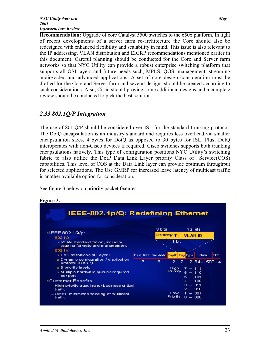Recommendation: Upgrade of core Catalyst 5500 switches to the 650x platform. In light of recent developments of a server farm re-architecture the Core should also be redesigned with enhanced flexibility and scalability in mind. This issue is also relevant to the IP addressing, VLAN distribution and EIGRP recommendations mentioned earlier in this document. Careful planning should be conducted for the Core and Server farm networks so that NYC Utility can provide a robust enterprise switching platform that supports all OSI layers and future needs such, MPLS, QOS, management, streaming audio/video and advanced applications. A set of core design consideration must be drafted for the Core and Server farm and several designs should be created according to such considerations. Also, Cisco should provide some additional designs and a complete review should be conducted to pick the best solution.

#### *2.33 802.1Q/P Integration*

The use of 801.Q/P should be considered over ISL for the standard trunking protocol. The DotQ encapsulation is an industry standard and requires less overhead via smaller encapsulation sizes, 4 bytes for DotQ as opposed to 30 bytes for ISL. Plus, DotQ interoperates with non-Cisco devices if required. Cisco switches supports both trunking encapsulations natively. This type of configuration positions NYC Utility's switching fabric to also utilize the DotP Data Link Layer priority Class of Service(COS) capabilities. This level of COS at the Data Link layer can provide optimum throughput for selected applications. The Use GMRP for increased leave latency of multicast traffic is another available option for consideration.

See figure 3 below on priority packet features.



#### Figure 3.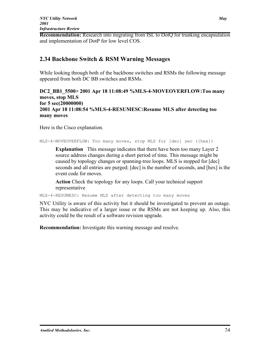Recommendation: Research into migrating from ISL to DotQ for trunking encapsulation and implementation of DotP for low level COS.

#### 2.34 Backbone Switch & RSM Warning Messages

While looking through both of the backbone switches and RSMs the following message appeared from both DC BB switches and RSMs.

#### DC2 BB1 5500> 2001 Apr 18 11:08:49 %MLS-4-MOVEOVERFLOW:Too many moves, stop MLS for 5 sec(20000000) 2001 Apr 18 11:08:54 %MLS-4-RESUMESC:Resume MLS after detecting too many moves

Here is the Cisco explanation.

MLS-4-MOVEOVERFLOW: Too many moves, stop MLS for [dec] sec ([hex])

Explanation This message indicates that there have been too many Layer 2 source address changes during a short period of time. This message might be caused by topology changes or spanning-tree loops. MLS is stopped for [dec] seconds and all entries are purged; [dec] is the number of seconds, and [hex] is the event code for moves.

Action Check the topology for any loops. Call your technical support representative

MLS-4-RESUMESC: Resume MLS after detecting too many moves

NYC Utility is aware of this activity but it should be investigated to prevent an outage. This may be indicative of a larger issue or the RSMs are not keeping up. Also, this activity could be the result of a software revision upgrade.

Recommendation: Investigate this warning message and resolve.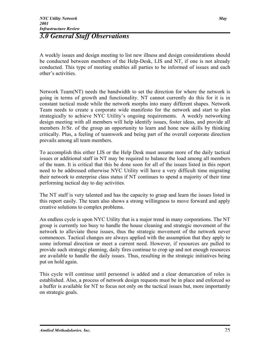## *3.0 General Staff Observations*

A weekly issues and design meeting to list new illness and design considerations should be conducted between members of the Help-Desk, LIS and NT, if one is not already conducted. This type of meeting enables all parties to be informed of issues and each other's activities.

Network Team(NT) needs the bandwidth to set the direction for where the network is going in terms of growth and functionality. NT cannot currently do this for it is in constant tactical mode while the network morphs into many different shapes. Network Team needs to create a corporate wide manifesto for the network and start to plan strategically to achieve NYC Utility's ongoing requirements. A weekly networking design meeting with all members will help identify issues, foster ideas, and provide all members Jr/Sr. of the group an opportunity to learn and hone new skills by thinking critically. Plus, a feeling of teamwork and being part of the overall corporate direction prevails among all team members.

To accomplish this either LIS or the Help Desk must assume more of the daily tactical issues or additional staff in NT may be required to balance the load among all members of the team. It is critical that this be done soon for all of the issues listed in this report need to be addressed otherwise NYC Utility will have a very difficult time migrating their network to enterprise class status if NT continues to spend a majority of their time performing tactical day to day activities.

The NT staff is very talented and has the capacity to grasp and learn the issues listed in this report easily. The team also shows a strong willingness to move forward and apply creative solutions to complex problems.

An endless cycle is upon NYC Utility that is a major trend in many corporations. The NT group is currently too busy to handle the house cleaning and strategic movement of the network to alleviate these issues, thus the strategic movement of the network never commences. Tactical changes are always applied with the assumption that they apply to some informal direction or meet a current need. However, if resources are pulled to provide such strategic planning, daily fires continue to crop up and not enough resources are available to handle the daily issues. Thus, resulting in the strategic initiatives being put on hold again.

This cycle will continue until personnel is added and a clear demarcation of roles is established. Also, a process of network design requests must be in place and enforced so a buffer is available for NT to focus not only on the tactical issues but, more importantly on strategic goals.